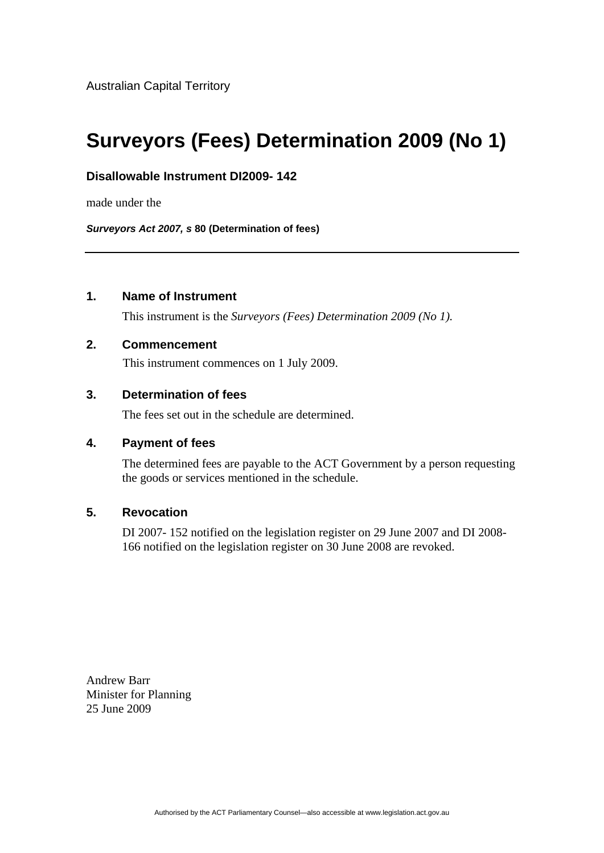# **Surveyors (Fees) Determination 2009 (No 1)**

## **Disallowable Instrument DI2009- 142**

made under the

*Surveyors Act 2007, s* **80 (Determination of fees)**

# **1. Name of Instrument**

This instrument is the *Surveyors (Fees) Determination 2009 (No 1).* 

### **2. Commencement**

This instrument commences on 1 July 2009.

## **3. Determination of fees**

The fees set out in the schedule are determined.

#### **4. Payment of fees**

The determined fees are payable to the ACT Government by a person requesting the goods or services mentioned in the schedule.

## **5. Revocation**

DI 2007- 152 notified on the legislation register on 29 June 2007 and DI 2008- 166 notified on the legislation register on 30 June 2008 are revoked.

Andrew Barr Minister for Planning 25 June 2009